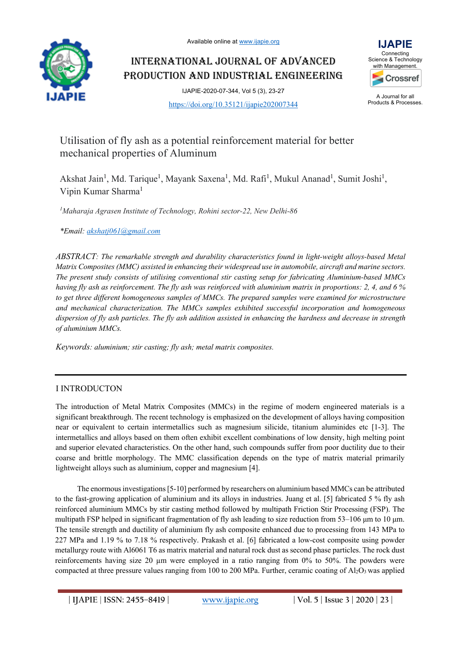

INTERNATIONAL JOURNAL OF ADVANCED PRODUCTION AND INDUSTRIAL ENGINEERING



IJAPIE-2020-07-344, Vol 5 (3), 23-27

https://doi.org/10.35121/ijapie202007344

#### A Journal for all Products & Processes.

# Utilisation of fly ash as a potential reinforcement material for better mechanical properties of Aluminum

Akshat Jain<sup>1</sup>, Md. Tarique<sup>1</sup>, Mayank Saxena<sup>1</sup>, Md. Rafi<sup>1</sup>, Mukul Ananad<sup>1</sup>, Sumit Joshi<sup>1</sup>, Vipin Kumar Sharma1

*1 Maharaja Agrasen Institute of Technology, Rohini sector-22, New Delhi-86* 

*\*Email: akshatj061@gmail.com*

*ABSTRACT: The remarkable strength and durability characteristics found in light-weight alloys-based Metal Matrix Composites (MMC) assisted in enhancing their widespread use in automobile, aircraft and marine sectors. The present study consists of utilising conventional stir casting setup for fabricating Aluminium-based MMCs having fly ash as reinforcement. The fly ash was reinforced with aluminium matrix in proportions: 2, 4, and 6 % to get three different homogeneous samples of MMCs. The prepared samples were examined for microstructure and mechanical characterization. The MMCs samples exhibited successful incorporation and homogeneous dispersion of fly ash particles. The fly ash addition assisted in enhancing the hardness and decrease in strength of aluminium MMCs.*

*Keywords: aluminium; stir casting; fly ash; metal matrix composites.*

# I INTRODUCTON

The introduction of Metal Matrix Composites (MMCs) in the regime of modern engineered materials is a significant breakthrough. The recent technology is emphasized on the development of alloys having composition near or equivalent to certain intermetallics such as magnesium silicide, titanium aluminides etc [1-3]. The intermetallics and alloys based on them often exhibit excellent combinations of low density, high melting point and superior elevated characteristics. On the other hand, such compounds suffer from poor ductility due to their coarse and brittle morphology. The MMC classification depends on the type of matrix material primarily lightweight alloys such as aluminium, copper and magnesium [4].

The enormous investigations [5-10] performed by researchers on aluminium based MMCs can be attributed to the fast-growing application of aluminium and its alloys in industries. Juang et al. [5] fabricated 5 % fly ash reinforced aluminium MMCs by stir casting method followed by multipath Friction Stir Processing (FSP). The multipath FSP helped in significant fragmentation of fly ash leading to size reduction from 53–106 μm to 10 μm. The tensile strength and ductility of aluminium fly ash composite enhanced due to processing from 143 MPa to 227 MPa and 1.19 % to 7.18 % respectively. Prakash et al. [6] fabricated a low-cost composite using powder metallurgy route with Al6061 T6 as matrix material and natural rock dust as second phase particles. The rock dust reinforcements having size 20 µm were employed in a ratio ranging from 0% to 50%. The powders were compacted at three pressure values ranging from 100 to 200 MPa. Further, ceramic coating of Al<sub>2</sub>O<sub>3</sub> was applied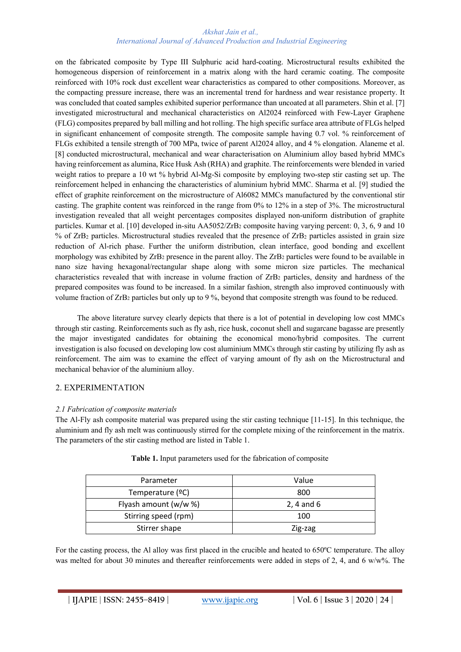#### *Akshat Jain et al., International Journal of Advanced Production and Industrial Engineering*

on the fabricated composite by Type III Sulphuric acid hard-coating. Microstructural results exhibited the homogeneous dispersion of reinforcement in a matrix along with the hard ceramic coating. The composite reinforced with 10% rock dust excellent wear characteristics as compared to other compositions. Moreover, as the compacting pressure increase, there was an incremental trend for hardness and wear resistance property. It was concluded that coated samples exhibited superior performance than uncoated at all parameters. Shin et al. [7] investigated microstructural and mechanical characteristics on Al2024 reinforced with Few-Layer Graphene (FLG) composites prepared by ball milling and hot rolling. The high specific surface area attribute of FLGs helped in significant enhancement of composite strength. The composite sample having 0.7 vol. % reinforcement of FLGs exhibited a tensile strength of 700 MPa, twice of parent Al2024 alloy, and 4 % elongation. Alaneme et al. [8] conducted microstructural, mechanical and wear characterisation on Aluminium alloy based hybrid MMCs having reinforcement as alumina, Rice Husk Ash (RHA) and graphite. The reinforcements were blended in varied weight ratios to prepare a 10 wt % hybrid Al-Mg-Si composite by employing two-step stir casting set up. The reinforcement helped in enhancing the characteristics of aluminium hybrid MMC. Sharma et al. [9] studied the effect of graphite reinforcement on the microstructure of Al6082 MMCs manufactured by the conventional stir casting. The graphite content was reinforced in the range from 0% to 12% in a step of 3%. The microstructural investigation revealed that all weight percentages composites displayed non-uniform distribution of graphite particles. Kumar et al. [10] developed in-situ AA5052/ZrB2 composite having varying percent: 0, 3, 6, 9 and 10 % of ZrB2 particles. Microstructural studies revealed that the presence of ZrB2 particles assisted in grain size reduction of Al-rich phase. Further the uniform distribution, clean interface, good bonding and excellent morphology was exhibited by ZrB<sub>2</sub> presence in the parent alloy. The ZrB<sub>2</sub> particles were found to be available in nano size having hexagonal/rectangular shape along with some micron size particles. The mechanical characteristics revealed that with increase in volume fraction of ZrB2 particles, density and hardness of the prepared composites was found to be increased. In a similar fashion, strength also improved continuously with volume fraction of ZrB2 particles but only up to 9 %, beyond that composite strength was found to be reduced.

The above literature survey clearly depicts that there is a lot of potential in developing low cost MMCs through stir casting. Reinforcements such as fly ash, rice husk, coconut shell and sugarcane bagasse are presently the major investigated candidates for obtaining the economical mono/hybrid composites. The current investigation is also focused on developing low cost aluminium MMCs through stir casting by utilizing fly ash as reinforcement. The aim was to examine the effect of varying amount of fly ash on the Microstructural and mechanical behavior of the aluminium alloy.

# 2. EXPERIMENTATION

## *2.1 Fabrication of composite materials*

The Al-Fly ash composite material was prepared using the stir casting technique [11-15]. In this technique, the aluminium and fly ash melt was continuously stirred for the complete mixing of the reinforcement in the matrix. The parameters of the stir casting method are listed in Table 1.

| Parameter             | Value        |  |
|-----------------------|--------------|--|
| Temperature (°C)      | 800          |  |
| Flyash amount (w/w %) | $2, 4$ and 6 |  |
| Stirring speed (rpm)  | 100          |  |
| Stirrer shape         | Zig-zag      |  |

**Table 1.** Input parameters used for the fabrication of composite

For the casting process, the Al alloy was first placed in the crucible and heated to 650°C temperature. The alloy was melted for about 30 minutes and thereafter reinforcements were added in steps of 2, 4, and 6 w/w%. The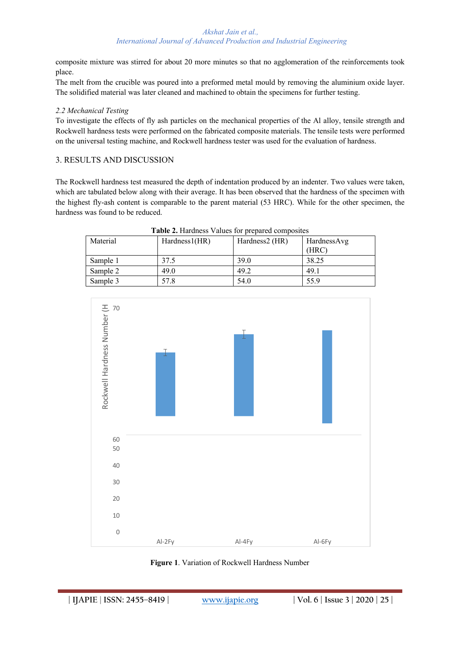#### *Akshat Jain et al., International Journal of Advanced Production and Industrial Engineering*

composite mixture was stirred for about 20 more minutes so that no agglomeration of the reinforcements took place.

The melt from the crucible was poured into a preformed metal mould by removing the aluminium oxide layer. The solidified material was later cleaned and machined to obtain the specimens for further testing.

## *2.2 Mechanical Testing*

To investigate the effects of fly ash particles on the mechanical properties of the Al alloy, tensile strength and Rockwell hardness tests were performed on the fabricated composite materials. The tensile tests were performed on the universal testing machine, and Rockwell hardness tester was used for the evaluation of hardness.

## 3. RESULTS AND DISCUSSION

The Rockwell hardness test measured the depth of indentation produced by an indenter. Two values were taken, which are tabulated below along with their average. It has been observed that the hardness of the specimen with the highest fly-ash content is comparable to the parent material (53 HRC). While for the other specimen, the hardness was found to be reduced.

| Table 2. Hardness Values for prepared composites |               |                |             |
|--------------------------------------------------|---------------|----------------|-------------|
| Material                                         | Hardness1(HR) | Hardness2 (HR) | HardnessAvg |
|                                                  |               |                | (HRC)       |
| Sample 1                                         | 37.5          | 39.0           | 38.25       |
| Sample 2                                         | 49.0          | 49.2           | 49.1        |
| Sample 3                                         | 57.8          | 54.0           | 55.9        |

Rockwell Hardness Number (H 60 50 40 30  $20$ 10  $\cap$ Al-2Fy Al-4Fy Al-6Fy Rockwell Hardness Number (H

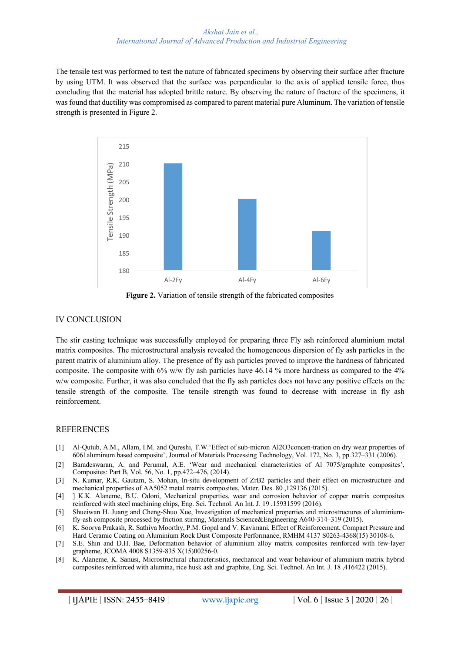The tensile test was performed to test the nature of fabricated specimens by observing their surface after fracture by using UTM. It was observed that the surface was perpendicular to the axis of applied tensile force, thus concluding that the material has adopted brittle nature. By observing the nature of fracture of the specimens, it was found that ductility was compromised as compared to parent material pure Aluminum. The variation of tensile strength is presented in Figure 2.



**Figure 2.** Variation of tensile strength of the fabricated composites

# IV CONCLUSION

The stir casting technique was successfully employed for preparing three Fly ash reinforced aluminium metal matrix composites. The microstructural analysis revealed the homogeneous dispersion of fly ash particles in the parent matrix of aluminium alloy. The presence of fly ash particles proved to improve the hardness of fabricated composite. The composite with 6% w/w fly ash particles have 46.14 % more hardness as compared to the 4% w/w composite. Further, it was also concluded that the fly ash particles does not have any positive effects on the tensile strength of the composite. The tensile strength was found to decrease with increase in fly ash reinforcement.

# **REFERENCES**

- [1] Al-Qutub, A.M., Allam, I.M. and Qureshi, T.W.'Effect of sub-micron Al2O3concen-tration on dry wear properties of 6061aluminum based composite', Journal of Materials Processing Technology, Vol. 172, No. 3, pp.327–331 (2006).
- [2] Baradeswaran, A. and Perumal, A.E. 'Wear and mechanical characteristics of Al 7075/graphite composites', Composites: Part B, Vol. 56, No. 1, pp.472–476, (2014).
- [3] N. Kumar, R.K. Gautam, S. Mohan, In-situ development of ZrB2 particles and their effect on microstructure and mechanical properties of AA5052 metal matrix composites, Mater. Des. 80 ,129136 (2015).
- [4] ] K.K. Alaneme, B.U. Odoni, Mechanical properties, wear and corrosion behavior of copper matrix composites reinforced with steel machining chips, Eng. Sci. Technol. An Int. J. 19 ,15931599 (2016).
- [5] Shueiwan H. Juang and Cheng-Shuo Xue, Investigation of mechanical properties and microstructures of aluminiumfly-ash composite processed by friction stirring, Materials Science&Engineering A640-314–319 (2015).
- [6] K. Soorya Prakash, R. Sathiya Moorthy, P.M. Gopal and V. Kavimani, Effect of Reinforcement, Compact Pressure and Hard Ceramic Coating on Aluminium Rock Dust Composite Performance, RMHM 4137 S0263-4368(15) 30108-6.
- [7] S.E. Shin and D.H. Bae, Deformation behavior of aluminium alloy matrix composites reinforced with few-layer grapheme, JCOMA 4008 S1359-835 X(15)00256-0.
- [8] K. Alaneme, K. Sanusi, Microstructural characteristics, mechanical and wear behaviour of aluminium matrix hybrid composites reinforced with alumina, rice husk ash and graphite, Eng. Sci. Technol. An Int. J. 18 ,416422 (2015).